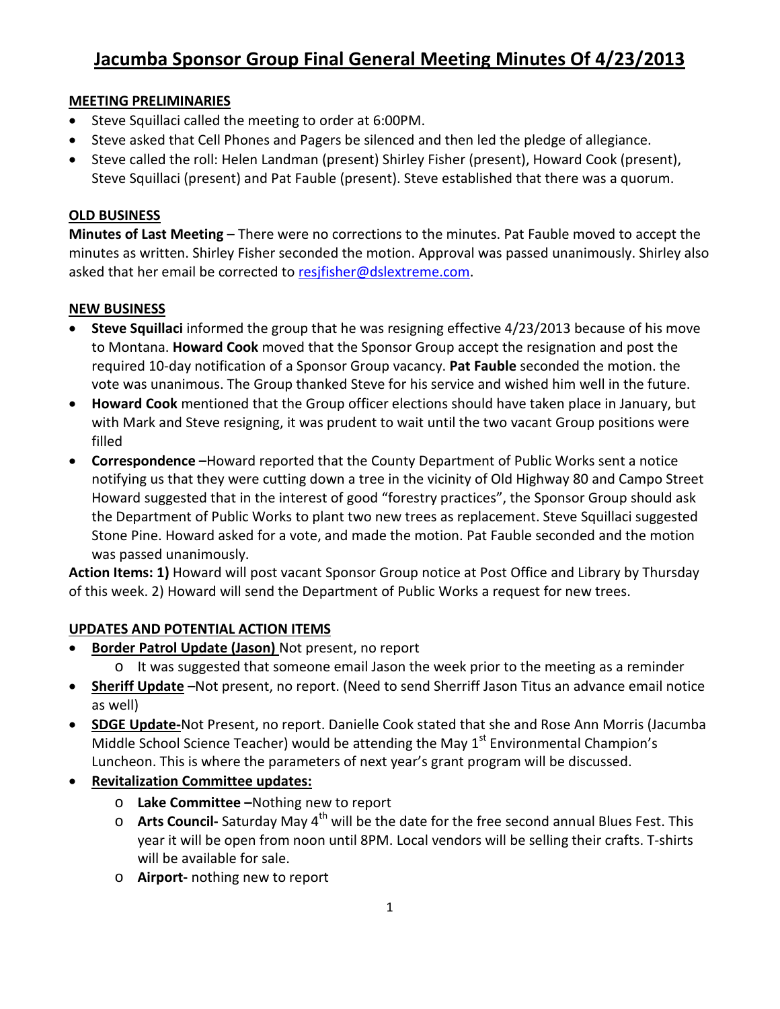# **Jacumba Sponsor Group Final General Meeting Minutes Of 4/23/2013**

# **MEETING PRELIMINARIES**

- Steve Squillaci called the meeting to order at 6:00PM.
- Steve asked that Cell Phones and Pagers be silenced and then led the pledge of allegiance.
- Steve called the roll: Helen Landman (present) Shirley Fisher (present), Howard Cook (present), Steve Squillaci (present) and Pat Fauble (present). Steve established that there was a quorum.

### **OLD BUSINESS**

**Minutes of Last Meeting** – There were no corrections to the minutes. Pat Fauble moved to accept the minutes as written. Shirley Fisher seconded the motion. Approval was passed unanimously. Shirley also asked that her email be corrected to resifisher@dslextreme.com.

# **NEW BUSINESS**

- **Steve Squillaci** informed the group that he was resigning effective 4/23/2013 because of his move to Montana. **Howard Cook** moved that the Sponsor Group accept the resignation and post the required 10-day notification of a Sponsor Group vacancy. **Pat Fauble** seconded the motion. the vote was unanimous. The Group thanked Steve for his service and wished him well in the future.
- **Howard Cook** mentioned that the Group officer elections should have taken place in January, but with Mark and Steve resigning, it was prudent to wait until the two vacant Group positions were filled
- **Correspondence –**Howard reported that the County Department of Public Works sent a notice notifying us that they were cutting down a tree in the vicinity of Old Highway 80 and Campo Street Howard suggested that in the interest of good "forestry practices", the Sponsor Group should ask the Department of Public Works to plant two new trees as replacement. Steve Squillaci suggested Stone Pine. Howard asked for a vote, and made the motion. Pat Fauble seconded and the motion was passed unanimously.

**Action Items: 1)** Howard will post vacant Sponsor Group notice at Post Office and Library by Thursday of this week. 2) Howard will send the Department of Public Works a request for new trees.

# **UPDATES AND POTENTIAL ACTION ITEMS**

- **Border Patrol Update (Jason)** Not present, no report
	- o It was suggested that someone email Jason the week prior to the meeting as a reminder
- **Sheriff Update** –Not present, no report. (Need to send Sherriff Jason Titus an advance email notice as well)
- **SDGE Update-**Not Present, no report. Danielle Cook stated that she and Rose Ann Morris (Jacumba Middle School Science Teacher) would be attending the May  $1<sup>st</sup>$  Environmental Champion's Luncheon. This is where the parameters of next year's grant program will be discussed.
- **Revitalization Committee updates:**
	- o **Lake Committee –**Nothing new to report
	- o **Arts Council-** Saturday May 4th will be the date for the free second annual Blues Fest. This year it will be open from noon until 8PM. Local vendors will be selling their crafts. T-shirts will be available for sale.
	- o **Airport-** nothing new to report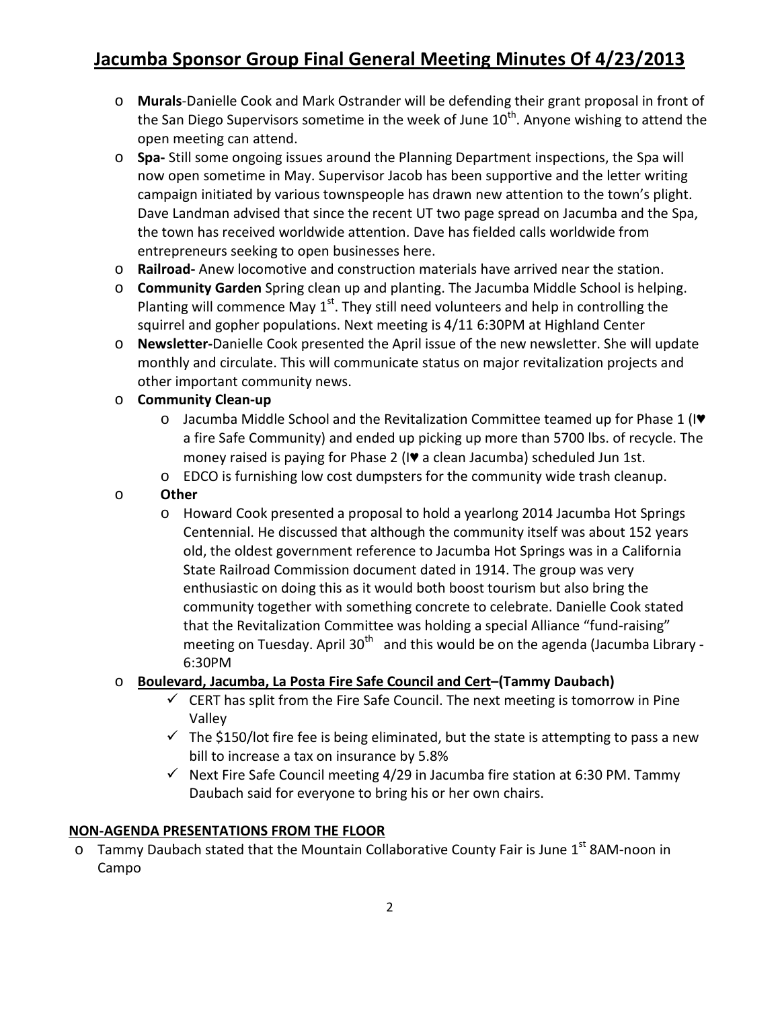# **Jacumba Sponsor Group Final General Meeting Minutes Of 4/23/2013**

- o **Murals**-Danielle Cook and Mark Ostrander will be defending their grant proposal in front of the San Diego Supervisors sometime in the week of June  $10<sup>th</sup>$ . Anyone wishing to attend the open meeting can attend.
- o **Spa-** Still some ongoing issues around the Planning Department inspections, the Spa will now open sometime in May. Supervisor Jacob has been supportive and the letter writing campaign initiated by various townspeople has drawn new attention to the town's plight. Dave Landman advised that since the recent UT two page spread on Jacumba and the Spa, the town has received worldwide attention. Dave has fielded calls worldwide from entrepreneurs seeking to open businesses here.
- o **Railroad-** Anew locomotive and construction materials have arrived near the station.
- o **Community Garden** Spring clean up and planting. The Jacumba Middle School is helping. Planting will commence May  $1<sup>st</sup>$ . They still need volunteers and help in controlling the squirrel and gopher populations. Next meeting is 4/11 6:30PM at Highland Center
- o **Newsletter-**Danielle Cook presented the April issue of the new newsletter. She will update monthly and circulate. This will communicate status on major revitalization projects and other important community news.

#### o **Community Clean-up**

- o Jacumba Middle School and the Revitalization Committee teamed up for Phase 1 (I♥ a fire Safe Community) and ended up picking up more than 5700 lbs. of recycle. The money raised is paying for Phase 2 (I♥ a clean Jacumba) scheduled Jun 1st.
- o EDCO is furnishing low cost dumpsters for the community wide trash cleanup.

#### o **Other**

o Howard Cook presented a proposal to hold a yearlong 2014 Jacumba Hot Springs Centennial. He discussed that although the community itself was about 152 years old, the oldest government reference to Jacumba Hot Springs was in a California State Railroad Commission document dated in 1914. The group was very enthusiastic on doing this as it would both boost tourism but also bring the community together with something concrete to celebrate. Danielle Cook stated that the Revitalization Committee was holding a special Alliance "fund-raising" meeting on Tuesday. April  $30<sup>th</sup>$  and this would be on the agenda (Jacumba Library -6:30PM

# o **Boulevard, Jacumba, La Posta Fire Safe Council and Cert–(Tammy Daubach)**

- $\checkmark$  CERT has split from the Fire Safe Council. The next meeting is tomorrow in Pine Valley
- $\checkmark$  The \$150/lot fire fee is being eliminated, but the state is attempting to pass a new bill to increase a tax on insurance by 5.8%
- $\checkmark$  Next Fire Safe Council meeting 4/29 in Jacumba fire station at 6:30 PM. Tammy Daubach said for everyone to bring his or her own chairs.

#### **NON-AGENDA PRESENTATIONS FROM THE FLOOR**

 $\circ$  Tammy Daubach stated that the Mountain Collaborative County Fair is June 1<sup>st</sup> 8AM-noon in Campo